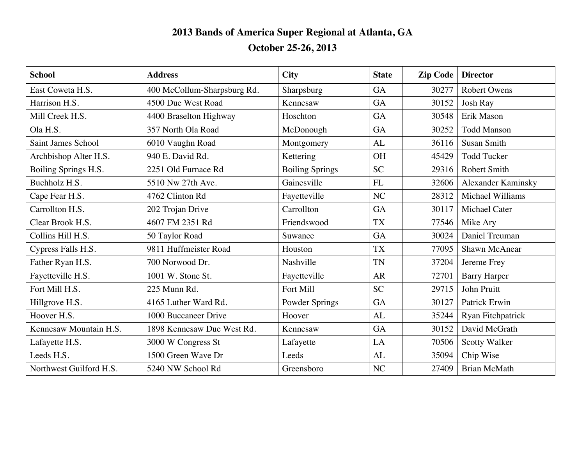## **2013 Bands of America Super Regional at Atlanta, GA**

## **October 25-26, 2013**

| <b>School</b>             | <b>Address</b>              | <b>City</b>            | <b>State</b> | <b>Zip Code</b> | <b>Director</b>           |
|---------------------------|-----------------------------|------------------------|--------------|-----------------|---------------------------|
| East Coweta H.S.          | 400 McCollum-Sharpsburg Rd. | Sharpsburg             | <b>GA</b>    | 30277           | <b>Robert Owens</b>       |
| Harrison H.S.             | 4500 Due West Road          | Kennesaw               | GA           | 30152           | <b>Josh Ray</b>           |
| Mill Creek H.S.           | 4400 Braselton Highway      | Hoschton               | GA           | 30548           | Erik Mason                |
| Ola H.S.                  | 357 North Ola Road          | McDonough              | <b>GA</b>    | 30252           | <b>Todd Manson</b>        |
| <b>Saint James School</b> | 6010 Vaughn Road            | Montgomery             | AL           | 36116           | <b>Susan Smith</b>        |
| Archbishop Alter H.S.     | 940 E. David Rd.            | Kettering              | <b>OH</b>    | 45429           | <b>Todd Tucker</b>        |
| Boiling Springs H.S.      | 2251 Old Furnace Rd         | <b>Boiling Springs</b> | <b>SC</b>    | 29316           | Robert Smith              |
| Buchholz H.S.             | 5510 Nw 27th Ave.           | Gainesville            | FL           | 32606           | <b>Alexander Kaminsky</b> |
| Cape Fear H.S.            | 4762 Clinton Rd             | Fayetteville           | NC           | 28312           | Michael Williams          |
| Carrollton H.S.           | 202 Trojan Drive            | Carrollton             | GA           | 30117           | Michael Cater             |
| Clear Brook H.S.          | 4607 FM 2351 Rd             | Friendswood            | <b>TX</b>    | 77546           | Mike Ary                  |
| Collins Hill H.S.         | 50 Taylor Road              | Suwanee                | <b>GA</b>    | 30024           | Daniel Treuman            |
| Cypress Falls H.S.        | 9811 Huffmeister Road       | Houston                | <b>TX</b>    | 77095           | <b>Shawn McAnear</b>      |
| Father Ryan H.S.          | 700 Norwood Dr.             | Nashville              | <b>TN</b>    | 37204           | Jereme Frey               |
| Fayetteville H.S.         | 1001 W. Stone St.           | Fayetteville           | <b>AR</b>    | 72701           | <b>Barry Harper</b>       |
| Fort Mill H.S.            | 225 Munn Rd.                | Fort Mill              | <b>SC</b>    | 29715           | John Pruitt               |
| Hillgrove H.S.            | 4165 Luther Ward Rd.        | Powder Springs         | <b>GA</b>    | 30127           | Patrick Erwin             |
| Hoover H.S.               | 1000 Buccaneer Drive        | Hoover                 | AL           | 35244           | Ryan Fitchpatrick         |
| Kennesaw Mountain H.S.    | 1898 Kennesaw Due West Rd.  | Kennesaw               | GA           | 30152           | David McGrath             |
| Lafayette H.S.            | 3000 W Congress St          | Lafayette              | LA           | 70506           | <b>Scotty Walker</b>      |
| Leeds H.S.                | 1500 Green Wave Dr          | Leeds                  | AL           | 35094           | Chip Wise                 |
| Northwest Guilford H.S.   | 5240 NW School Rd           | Greensboro             | NC           | 27409           | <b>Brian McMath</b>       |